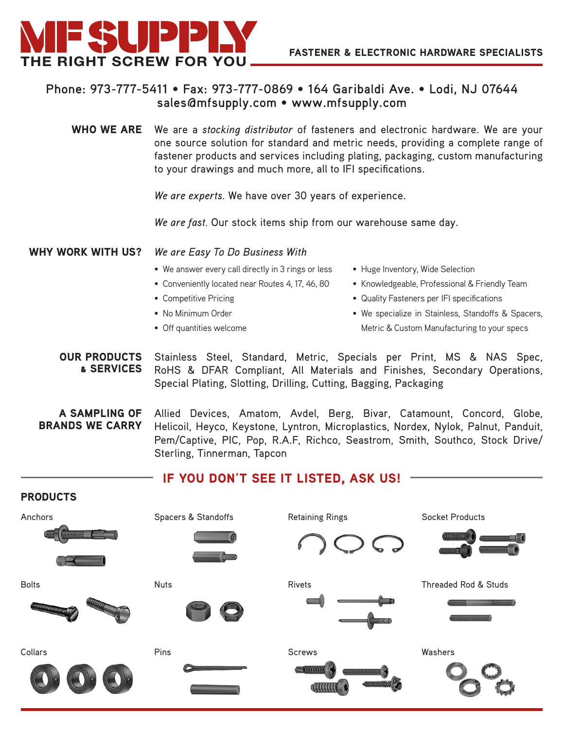

## **Phone: 973-777-5411 • Fax: 973-777-0869 • 164 Garibaldi Ave. • Lodi, NJ 07644 sales@mfsupply.com • www.mfsupply.com**

WHO WE ARE We are a *stocking distributor* of fasteners and electronic hardware. We are your one source solution for standard and metric needs, providing a complete range of fastener products and services including plating, packaging, custom manufacturing to your drawings and much more, all to IFI specifications.

*We are experts.* We have over 30 years of experience.

*We are fast.* Our stock items ship from our warehouse same day.

WHY WORK WITH US? *We are Easy To Do Business With*

- We answer every call directly in 3 rings or less
- Conveniently located near Routes 4, 17, 46, 80
- Competitive Pricing
- No Minimum Order
- Off quantities welcome
- Huge Inventory, Wide Selection
- Knowledgeable, Professional & Friendly Team
- Quality Fasteners per IFI specifications
- • We specialize in Stainless, Standoffs & Spacers, Metric & Custom Manufacturing to your specs

OUR PRODUCTS & SERVICES Stainless Steel, Standard, Metric, Specials per Print, MS & NAS Spec, RoHS & DFAR Compliant, All Materials and Finishes, Secondary Operations, Special Plating, Slotting, Drilling, Cutting, Bagging, Packaging

A SAMPLING OF BRANDS WE CARRY

Allied Devices, Amatom, Avdel, Berg, Bivar, Catamount, Concord, Globe, Helicoil, Heyco, Keystone, Lyntron, Microplastics, Nordex, Nylok, Palnut, Panduit, Pem/Captive, PIC, Pop, R.A.F, Richco, Seastrom, Smith, Southco, Stock Drive/ Sterling, Tinnerman, Tapcon

## IF YOU DON'T SEE IT LISTED, ASK US!